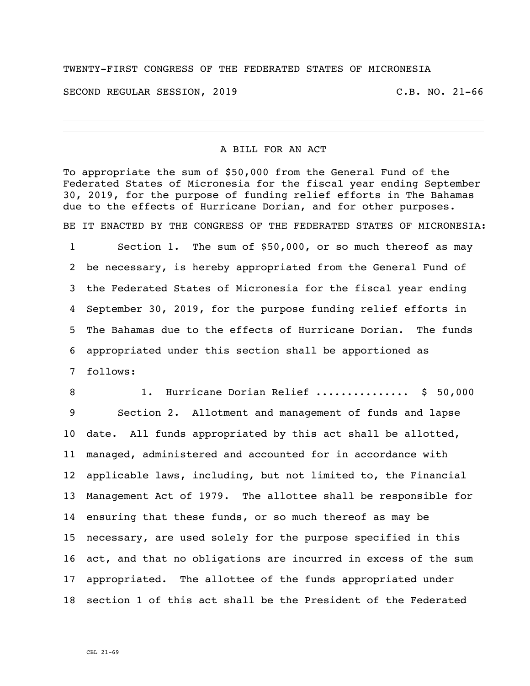## TWENTY-FIRST CONGRESS OF THE FEDERATED STATES OF MICRONESIA

SECOND REGULAR SESSION, 2019 C.B. NO. 21-66

## A BILL FOR AN ACT

To appropriate the sum of \$50,000 from the General Fund of the Federated States of Micronesia for the fiscal year ending September 30, 2019, for the purpose of funding relief efforts in The Bahamas due to the effects of Hurricane Dorian, and for other purposes. BE IT ENACTED BY THE CONGRESS OF THE FEDERATED STATES OF MICRONESIA: Section 1. The sum of \$50,000, or so much thereof as may be necessary, is hereby appropriated from the General Fund of the Federated States of Micronesia for the fiscal year ending September 30, 2019, for the purpose funding relief efforts in The Bahamas due to the effects of Hurricane Dorian. The funds appropriated under this section shall be apportioned as follows:

 1. Hurricane Dorian Relief ............... \$ 50,000 Section 2. Allotment and management of funds and lapse date. All funds appropriated by this act shall be allotted, managed, administered and accounted for in accordance with applicable laws, including, but not limited to, the Financial Management Act of 1979. The allottee shall be responsible for ensuring that these funds, or so much thereof as may be necessary, are used solely for the purpose specified in this act, and that no obligations are incurred in excess of the sum appropriated. The allottee of the funds appropriated under section 1 of this act shall be the President of the Federated